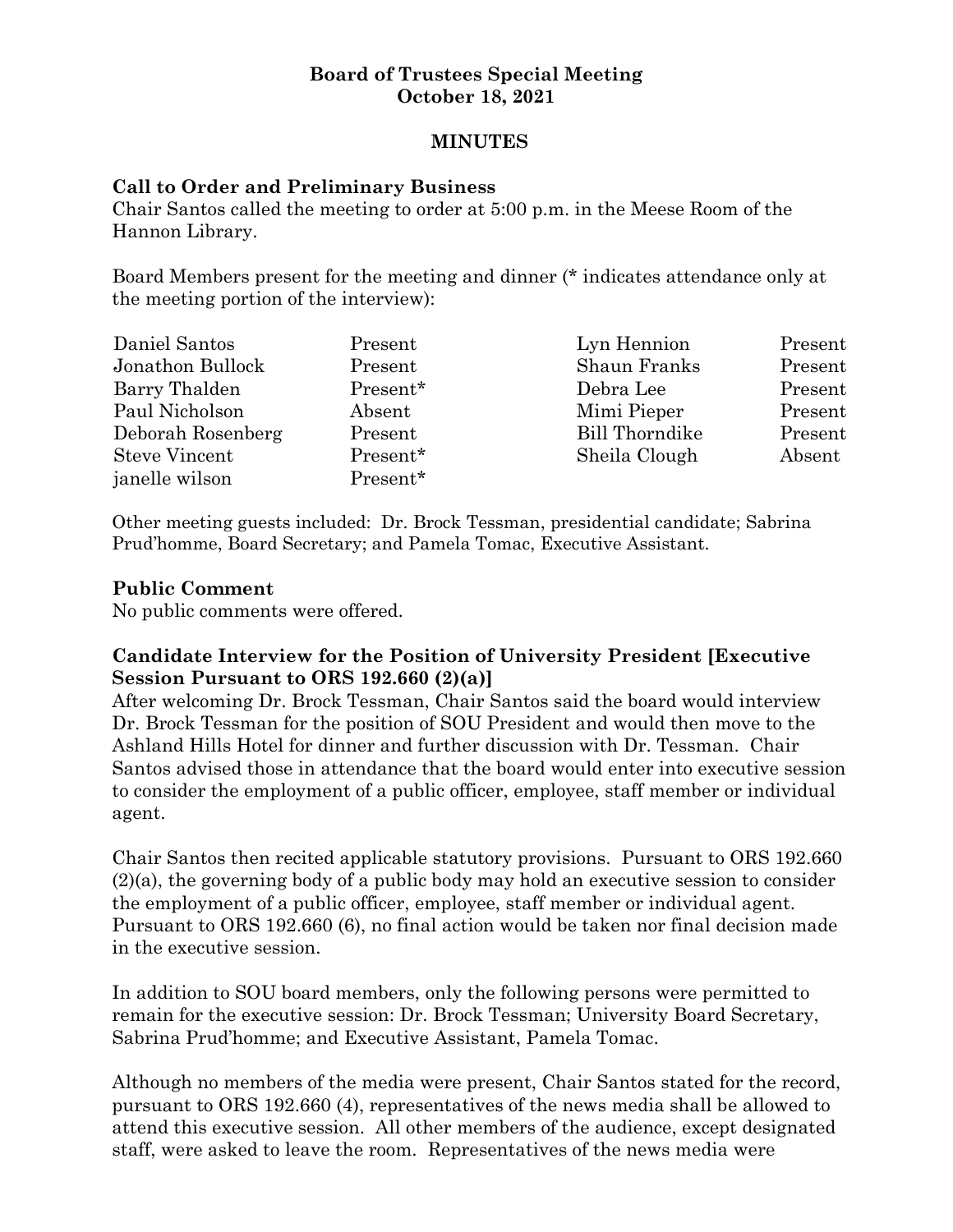#### **Board of Trustees Special Meeting October 18, 2021**

#### **MINUTES**

#### **Call to Order and Preliminary Business**

Chair Santos called the meeting to order at 5:00 p.m. in the Meese Room of the Hannon Library.

Board Members present for the meeting and dinner (\* indicates attendance only at the meeting portion of the interview):

| Daniel Santos        | Present  | Lyn Hennion           | Present |
|----------------------|----------|-----------------------|---------|
| Jonathon Bullock     | Present  | Shaun Franks          | Present |
| Barry Thalden        | Present* | Debra Lee             | Present |
| Paul Nicholson       | Absent   | Mimi Pieper           | Present |
| Deborah Rosenberg    | Present  | <b>Bill Thorndike</b> | Present |
| <b>Steve Vincent</b> | Present* | Sheila Clough         | Absent  |
| janelle wilson       | Present* |                       |         |

Other meeting guests included: Dr. Brock Tessman, presidential candidate; Sabrina Prud'homme, Board Secretary; and Pamela Tomac, Executive Assistant.

#### **Public Comment**

No public comments were offered.

### **Candidate Interview for the Position of University President [Executive Session Pursuant to ORS 192.660 (2)(a)]**

After welcoming Dr. Brock Tessman, Chair Santos said the board would interview Dr. Brock Tessman for the position of SOU President and would then move to the Ashland Hills Hotel for dinner and further discussion with Dr. Tessman. Chair Santos advised those in attendance that the board would enter into executive session to consider the employment of a public officer, employee, staff member or individual agent.

Chair Santos then recited applicable statutory provisions. Pursuant to ORS 192.660 (2)(a), the governing body of a public body may hold an executive session to consider the employment of a public officer, employee, staff member or individual agent. Pursuant to ORS 192.660 (6), no final action would be taken nor final decision made in the executive session.

In addition to SOU board members, only the following persons were permitted to remain for the executive session: Dr. Brock Tessman; University Board Secretary, Sabrina Prud'homme; and Executive Assistant, Pamela Tomac.

Although no members of the media were present, Chair Santos stated for the record, pursuant to ORS 192.660 (4), representatives of the news media shall be allowed to attend this executive session. All other members of the audience, except designated staff, were asked to leave the room. Representatives of the news media were